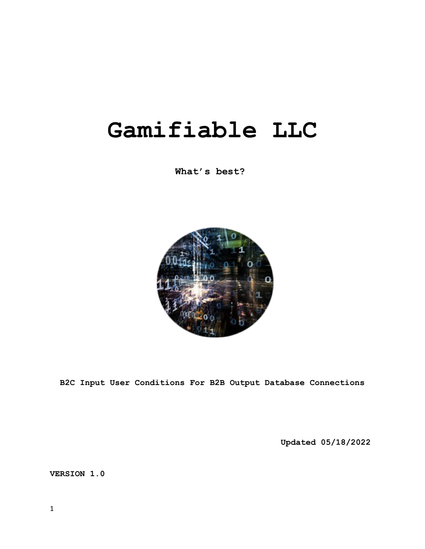# **Gamifiable LLC**

**What's best?**



**B2C Input User Conditions For B2B Output Database Connections**

**Updated 05/18/2022**

**VERSION 1.0**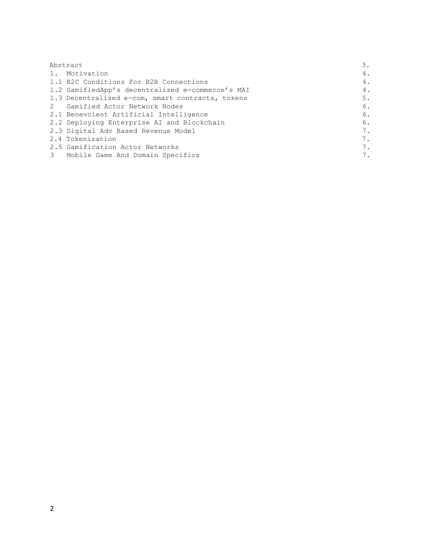| Abstract       |                                                  | З. |
|----------------|--------------------------------------------------|----|
|                | 1. Motivation                                    | 4. |
|                | 1.1 B2C Conditions For B2B Connections           | 4. |
|                | 1.2 GamifiedApp's decentralized e-commerce's MAI | 4. |
|                | 1.3 Decentralized e-com, smart contracts, tokens | 5. |
|                | 2 Gamified Actor Network Nodes                   | 6. |
|                | 2.1 Benevolent Artificial Intelligence           | 6. |
|                | 2.2 Deploying Enterprise AI and Blockchain       | 6. |
|                | 2.3 Digital Adv Based Revenue Model              | 7. |
|                | 2.4 Tokenization                                 | 7. |
|                | 2.5 Gamification Actor Networks                  | 7. |
| 3 <sup>7</sup> | Mobile Game And Domain Specifics                 | 7. |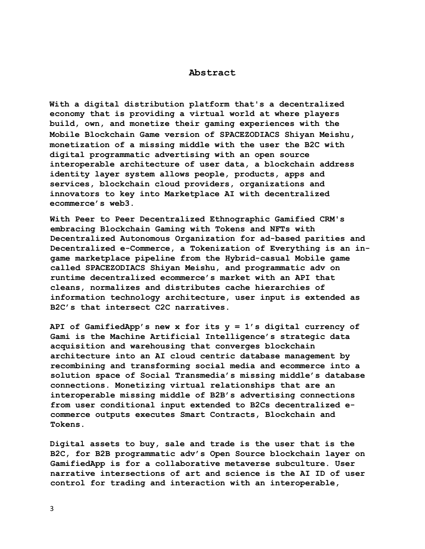## **Abstract**

**With a digital distribution platform that's a decentralized economy that is providing a virtual world at where players build, own, and monetize their gaming experiences with the Mobile Blockchain Game version of SPACEZODIACS Shiyan Meishu, monetization of a missing middle with the user the B2C with digital programmatic advertising with an open source interoperable architecture of user data, a blockchain address identity layer system allows people, products, apps and services, blockchain cloud providers, organizations and innovators to key into Marketplace AI with decentralized ecommerce's web3.**

**With Peer to Peer Decentralized Ethnographic Gamified CRM's embracing Blockchain Gaming with Tokens and NFTs with Decentralized Autonomous Organization for ad-based parities and Decentralized e-Commerce, a Tokenization of Everything is an ingame marketplace pipeline from the Hybrid-casual Mobile game called SPACEZODIACS Shiyan Meishu, and programmatic adv on runtime decentralized ecommerce's market with an API that cleans, normalizes and distributes cache hierarchies of information technology architecture, user input is extended as B2C's that intersect C2C narratives.**

**API of GamifiedApp's new x for its y = 1's digital currency of Gami is the Machine Artificial Intelligence's strategic data acquisition and warehousing that converges blockchain architecture into an AI cloud centric database management by recombining and transforming social media and ecommerce into a solution space of Social Transmedia's missing middle's database connections. Monetizing virtual relationships that are an interoperable missing middle of B2B's advertising connections from user conditional input extended to B2Cs decentralized ecommerce outputs executes Smart Contracts, Blockchain and Tokens.** 

**Digital assets to buy, sale and trade is the user that is the B2C, for B2B programmatic adv's Open Source blockchain layer on GamifiedApp is for a collaborative metaverse subculture. User narrative intersections of art and science is the AI ID of user control for trading and interaction with an interoperable,**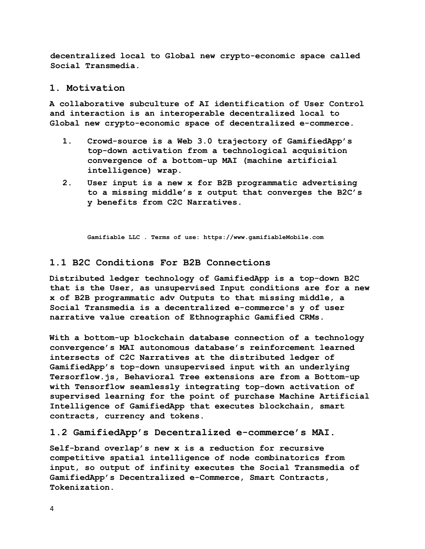**decentralized local to Global new crypto-economic space called Social Transmedia.**

## **1. Motivation**

**A collaborative subculture of AI identification of User Control and interaction is an interoperable decentralized local to Global new crypto-economic space of decentralized e-commerce.** 

- **1. Crowd-source is a Web 3.0 trajectory of GamifiedApp's top-down activation from a technological acquisition convergence of a bottom-up MAI (machine artificial intelligence) wrap.**
- **2. User input is a new x for B2B programmatic advertising to a missing middle's z output that converges the B2C's y benefits from C2C Narratives.**

**Gamifiable LLC . Terms of use: https://www.gamifiableMobile.com**

# **1.1 B2C Conditions For B2B Connections**

**Distributed ledger technology of GamifiedApp is a top-down B2C that is the User, as unsupervised Input conditions are for a new x of B2B programmatic adv Outputs to that missing middle, a Social Transmedia is a decentralized e-commerce's y of user narrative value creation of Ethnographic Gamified CRMs.** 

**With a bottom-up blockchain database connection of a technology convergence's MAI autonomous database's reinforcement learned intersects of C2C Narratives at the distributed ledger of GamifiedApp's top-down unsupervised input with an underlying Tersorflow.js, Behavioral Tree extensions are from a Bottom-up with Tensorflow seamlessly integrating top-down activation of supervised learning for the point of purchase Machine Artificial Intelligence of GamifiedApp that executes blockchain, smart contracts, currency and tokens.** 

#### **1.2 GamifiedApp's Decentralized e-commerce's MAI.**

**Self-brand overlap's new x is a reduction for recursive competitive spatial intelligence of node combinatorics from input, so output of infinity executes the Social Transmedia of GamifiedApp's Decentralized e-Commerce, Smart Contracts, Tokenization.**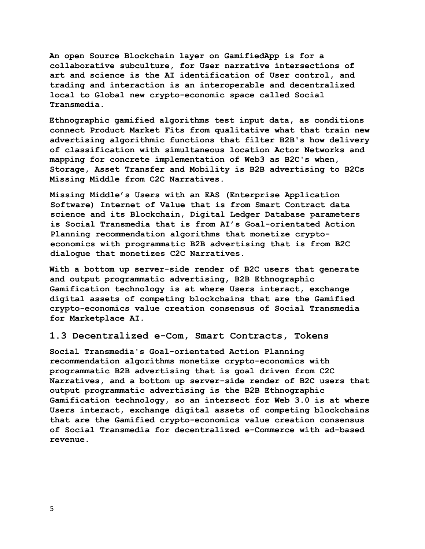**An open Source Blockchain layer on GamifiedApp is for a collaborative subculture, for User narrative intersections of art and science is the AI identification of User control, and trading and interaction is an interoperable and decentralized local to Global new crypto-economic space called Social Transmedia.** 

**Ethnographic gamified algorithms test input data, as conditions connect Product Market Fits from qualitative what that train new advertising algorithmic functions that filter B2B's how delivery of classification with simultaneous location Actor Networks and mapping for concrete implementation of Web3 as B2C's when, Storage, Asset Transfer and Mobility is B2B advertising to B2Cs Missing Middle from C2C Narratives.** 

**Missing Middle's Users with an EAS (Enterprise Application Software) Internet of Value that is from Smart Contract data science and its Blockchain, Digital Ledger Database parameters is Social Transmedia that is from AI's Goal-orientated Action Planning recommendation algorithms that monetize cryptoeconomics with programmatic B2B advertising that is from B2C dialogue that monetizes C2C Narratives.** 

**With a bottom up server-side render of B2C users that generate and output programmatic advertising, B2B Ethnographic Gamification technology is at where Users interact, exchange digital assets of competing blockchains that are the Gamified crypto-economics value creation consensus of Social Transmedia for Marketplace AI.** 

## **1.3 Decentralized e-Com, Smart Contracts, Tokens**

**Social Transmedia's Goal-orientated Action Planning recommendation algorithms monetize crypto-economics with programmatic B2B advertising that is goal driven from C2C Narratives, and a bottom up server-side render of B2C users that output programmatic advertising is the B2B Ethnographic Gamification technology, so an intersect for Web 3.0 is at where Users interact, exchange digital assets of competing blockchains that are the Gamified crypto-economics value creation consensus of Social Transmedia for decentralized e-Commerce with ad-based revenue.**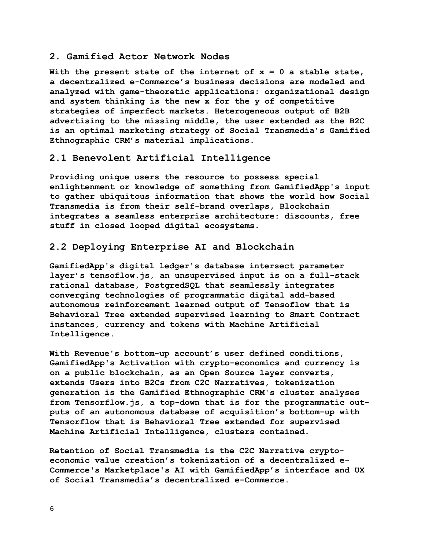## **2. Gamified Actor Network Nodes**

**With the present state of the internet of x = 0 a stable state, a decentralized e-Commerce's business decisions are modeled and analyzed with game-theoretic applications: organizational design and system thinking is the new x for the y of competitive strategies of imperfect markets. Heterogeneous output of B2B advertising to the missing middle, the user extended as the B2C is an optimal marketing strategy of Social Transmedia's Gamified Ethnographic CRM's material implications.** 

# **2.1 Benevolent Artificial Intelligence**

**Providing unique users the resource to possess special enlightenment or knowledge of something from GamifiedApp's input to gather ubiquitous information that shows the world how Social Transmedia is from their self-brand overlaps, Blockchain integrates a seamless enterprise architecture: discounts, free stuff in closed looped digital ecosystems.** 

## **2.2 Deploying Enterprise AI and Blockchain**

**GamifiedApp's digital ledger's database intersect parameter layer's tensoflow.js, an unsupervised input is on a full-stack rational database, PostgredSQL that seamlessly integrates converging technologies of programmatic digital add-based autonomous reinforcement learned output of Tensoflow that is Behavioral Tree extended supervised learning to Smart Contract instances, currency and tokens with Machine Artificial Intelligence.**

**With Revenue's bottom-up account's user defined conditions, GamifiedApp's Activation with crypto-economics and currency is on a public blockchain, as an Open Source layer converts, extends Users into B2Cs from C2C Narratives, tokenization generation is the Gamified Ethnographic CRM's cluster analyses from Tensorflow.js, a top-down that is for the programmatic outputs of an autonomous database of acquisition's bottom-up with Tensorflow that is Behavioral Tree extended for supervised Machine Artificial Intelligence, clusters contained.** 

**Retention of Social Transmedia is the C2C Narrative cryptoeconomic value creation's tokenization of a decentralized e-Commerce's Marketplace's AI with GamifiedApp's interface and UX of Social Transmedia's decentralized e-Commerce.**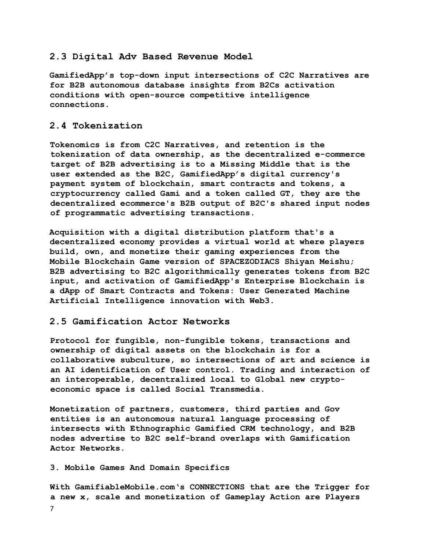## **2.3 Digital Adv Based Revenue Model**

**GamifiedApp's top-down input intersections of C2C Narratives are for B2B autonomous database insights from B2Cs activation conditions with open-source competitive intelligence connections.** 

# **2.4 Tokenization**

**Tokenomics is from C2C Narratives, and retention is the tokenization of data ownership, as the decentralized e-commerce target of B2B advertising is to a Missing Middle that is the user extended as the B2C, GamifiedApp's digital currency's payment system of blockchain, smart contracts and tokens, a cryptocurrency called Gami and a token called GT, they are the decentralized ecommerce's B2B output of B2C's shared input nodes of programmatic advertising transactions.**

**Acquisition with a digital distribution platform that's a decentralized economy provides a virtual world at where players build, own, and monetize their gaming experiences from the Mobile Blockchain Game version of SPACEZODIACS Shiyan Meishu; B2B advertising to B2C algorithmically generates tokens from B2C input, and activation of GamifiedApp's Enterprise Blockchain is a dApp of Smart Contracts and Tokens: User Generated Machine Artificial Intelligence innovation with Web3.**

## **2.5 Gamification Actor Networks**

**Protocol for fungible, non-fungible tokens, transactions and ownership of digital assets on the blockchain is for a collaborative subculture, so intersections of art and science is an AI identification of User control. Trading and interaction of an interoperable, decentralized local to Global new cryptoeconomic space is called Social Transmedia.**

**Monetization of partners, customers, third parties and Gov entities is an autonomous natural language processing of intersects with Ethnographic Gamified CRM technology, and B2B nodes advertise to B2C self-brand overlaps with Gamification Actor Networks.**

#### **3. Mobile Games And Domain Specifics**

7 **With GamifiableMobile.com's CONNECTIONS that are the Trigger for a new x, scale and monetization of Gameplay Action are Players**